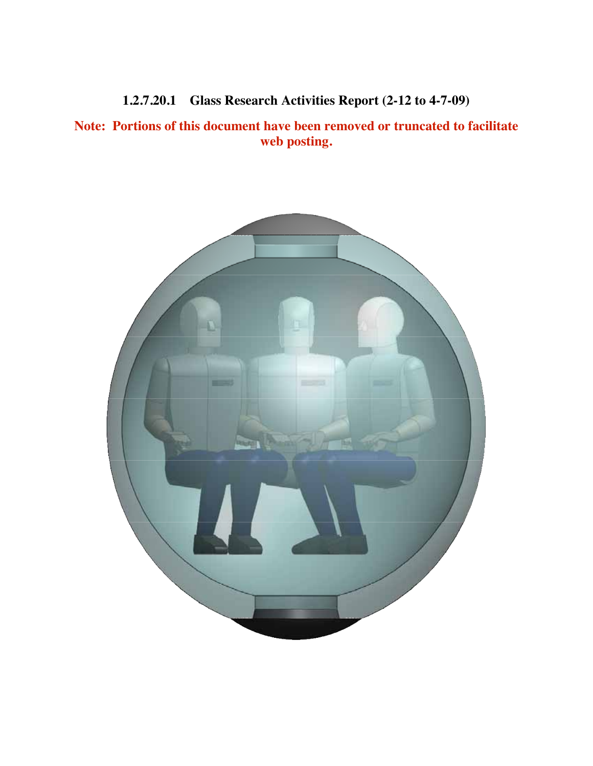**1.2.7.20.1 Glass Research Activities Report (2-12 to 4-7-09)**

**Note: Portions of this document have been removed or truncated to facilitate web posting.**

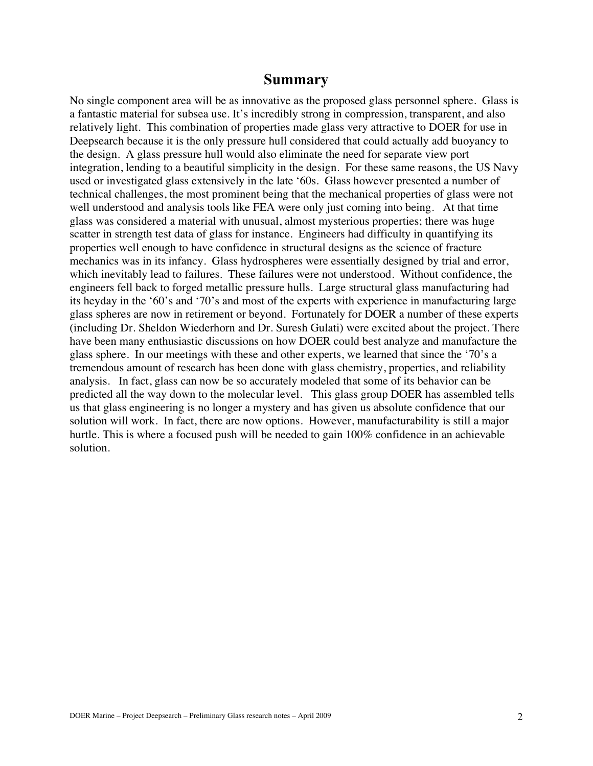## **Summary**

No single component area will be as innovative as the proposed glass personnel sphere. Glass is a fantastic material for subsea use. It's incredibly strong in compression, transparent, and also relatively light. This combination of properties made glass very attractive to DOER for use in Deepsearch because it is the only pressure hull considered that could actually add buoyancy to the design. A glass pressure hull would also eliminate the need for separate view port integration, lending to a beautiful simplicity in the design. For these same reasons, the US Navy used or investigated glass extensively in the late '60s. Glass however presented a number of technical challenges, the most prominent being that the mechanical properties of glass were not well understood and analysis tools like FEA were only just coming into being. At that time glass was considered a material with unusual, almost mysterious properties; there was huge scatter in strength test data of glass for instance. Engineers had difficulty in quantifying its properties well enough to have confidence in structural designs as the science of fracture mechanics was in its infancy. Glass hydrospheres were essentially designed by trial and error, which inevitably lead to failures. These failures were not understood. Without confidence, the engineers fell back to forged metallic pressure hulls. Large structural glass manufacturing had its heyday in the '60's and '70's and most of the experts with experience in manufacturing large glass spheres are now in retirement or beyond. Fortunately for DOER a number of these experts (including Dr. Sheldon Wiederhorn and Dr. Suresh Gulati) were excited about the project. There have been many enthusiastic discussions on how DOER could best analyze and manufacture the glass sphere. In our meetings with these and other experts, we learned that since the '70's a tremendous amount of research has been done with glass chemistry, properties, and reliability analysis. In fact, glass can now be so accurately modeled that some of its behavior can be predicted all the way down to the molecular level. This glass group DOER has assembled tells us that glass engineering is no longer a mystery and has given us absolute confidence that our solution will work. In fact, there are now options. However, manufacturability is still a major hurtle. This is where a focused push will be needed to gain 100% confidence in an achievable solution.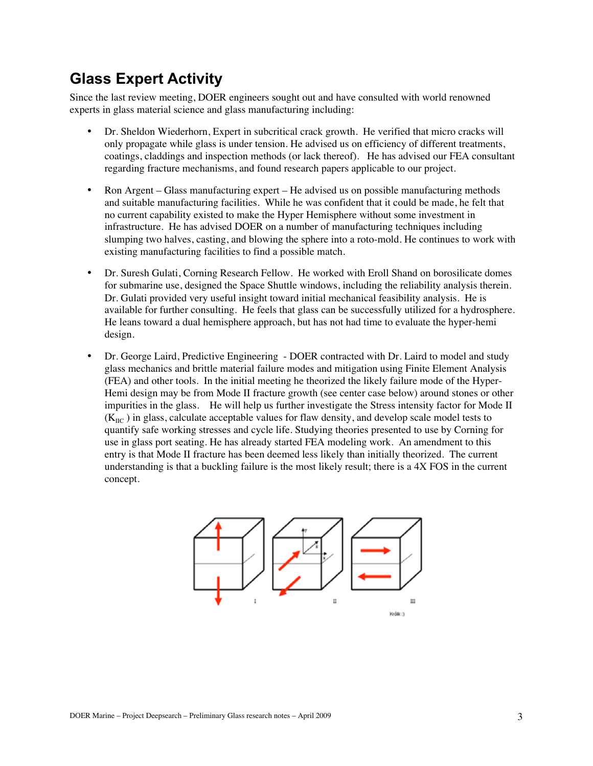## **Glass Expert Activity**

Since the last review meeting, DOER engineers sought out and have consulted with world renowned experts in glass material science and glass manufacturing including:

- Dr. Sheldon Wiederhorn, Expert in subcritical crack growth. He verified that micro cracks will only propagate while glass is under tension. He advised us on efficiency of different treatments, coatings, claddings and inspection methods (or lack thereof). He has advised our FEA consultant regarding fracture mechanisms, and found research papers applicable to our project.
- Ron Argent Glass manufacturing expert He advised us on possible manufacturing methods and suitable manufacturing facilities. While he was confident that it could be made, he felt that no current capability existed to make the Hyper Hemisphere without some investment in infrastructure. He has advised DOER on a number of manufacturing techniques including slumping two halves, casting, and blowing the sphere into a roto-mold. He continues to work with existing manufacturing facilities to find a possible match.
- Dr. Suresh Gulati, Corning Research Fellow. He worked with Eroll Shand on borosilicate domes for submarine use, designed the Space Shuttle windows, including the reliability analysis therein. Dr. Gulati provided very useful insight toward initial mechanical feasibility analysis. He is available for further consulting. He feels that glass can be successfully utilized for a hydrosphere. He leans toward a dual hemisphere approach, but has not had time to evaluate the hyper-hemi design.
- Dr. George Laird, Predictive Engineering DOER contracted with Dr. Laird to model and study glass mechanics and brittle material failure modes and mitigation using Finite Element Analysis (FEA) and other tools. In the initial meeting he theorized the likely failure mode of the Hyper-Hemi design may be from Mode II fracture growth (see center case below) around stones or other impurities in the glass. He will help us further investigate the Stress intensity factor for Mode II  $(K<sub>HC</sub>)$  in glass, calculate acceptable values for flaw density, and develop scale model tests to quantify safe working stresses and cycle life. Studying theories presented to use by Corning for use in glass port seating. He has already started FEA modeling work. An amendment to this entry is that Mode II fracture has been deemed less likely than initially theorized. The current understanding is that a buckling failure is the most likely result; there is a 4X FOS in the current concept.

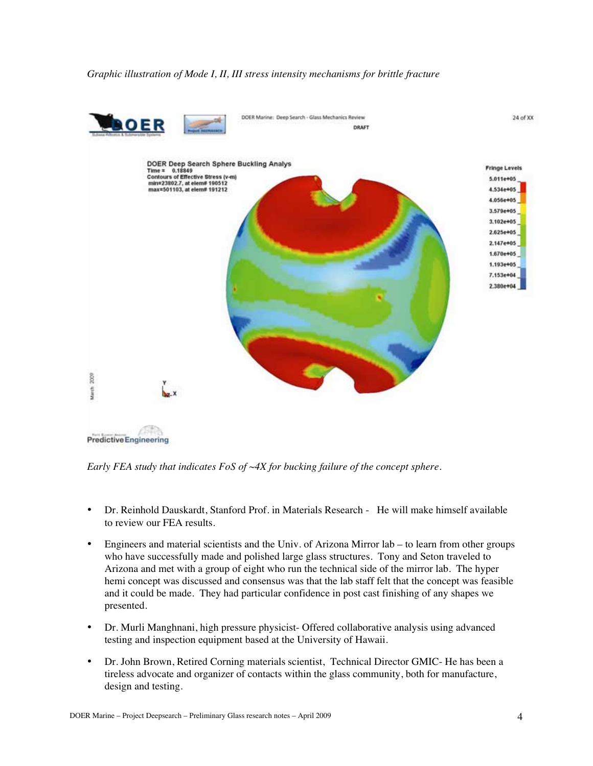

*Early FEA study that indicates FoS of ~4X for bucking failure of the concept sphere.*

- Dr. Reinhold Dauskardt, Stanford Prof. in Materials Research He will make himself available to review our FEA results.
- Engineers and material scientists and the Univ. of Arizona Mirror lab to learn from other groups who have successfully made and polished large glass structures. Tony and Seton traveled to Arizona and met with a group of eight who run the technical side of the mirror lab. The hyper hemi concept was discussed and consensus was that the lab staff felt that the concept was feasible and it could be made. They had particular confidence in post cast finishing of any shapes we presented.
- Dr. Murli Manghnani, high pressure physicist- Offered collaborative analysis using advanced testing and inspection equipment based at the University of Hawaii.
- Dr. John Brown, Retired Corning materials scientist, Technical Director GMIC- He has been a tireless advocate and organizer of contacts within the glass community, both for manufacture, design and testing.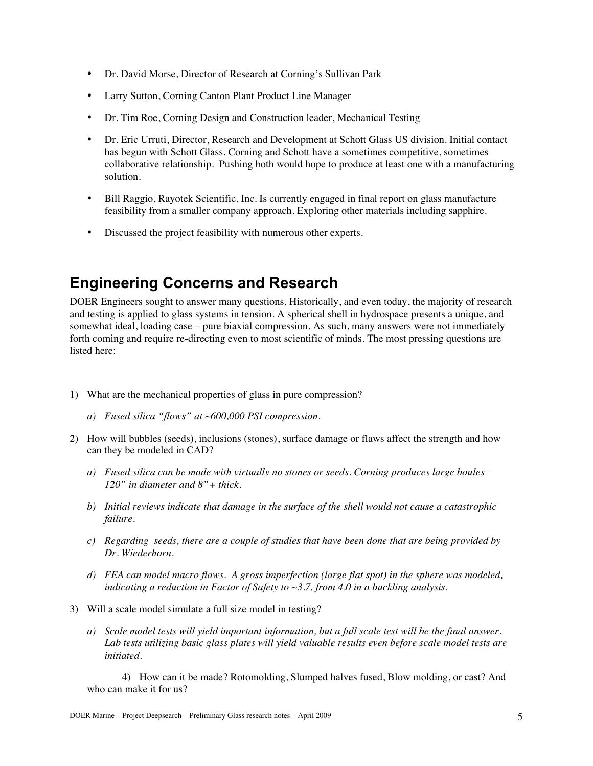- Dr. David Morse, Director of Research at Corning's Sullivan Park
- Larry Sutton, Corning Canton Plant Product Line Manager
- Dr. Tim Roe, Corning Design and Construction leader, Mechanical Testing
- Dr. Eric Urruti, Director, Research and Development at Schott Glass US division. Initial contact has begun with Schott Glass. Corning and Schott have a sometimes competitive, sometimes collaborative relationship. Pushing both would hope to produce at least one with a manufacturing solution.
- Bill Raggio, Rayotek Scientific, Inc. Is currently engaged in final report on glass manufacture feasibility from a smaller company approach. Exploring other materials including sapphire.
- Discussed the project feasibility with numerous other experts.

## **Engineering Concerns and Research**

DOER Engineers sought to answer many questions. Historically, and even today, the majority of research and testing is applied to glass systems in tension. A spherical shell in hydrospace presents a unique, and somewhat ideal, loading case – pure biaxial compression. As such, many answers were not immediately forth coming and require re-directing even to most scientific of minds. The most pressing questions are listed here:

- 1) What are the mechanical properties of glass in pure compression?
	- *a) Fused silica "flows" at ~600,000 PSI compression.*
- 2) How will bubbles (seeds), inclusions (stones), surface damage or flaws affect the strength and how can they be modeled in CAD?
	- *a) Fused silica can be made with virtually no stones or seeds. Corning produces large boules – 120" in diameter and 8"+ thick.*
	- *b) Initial reviews indicate that damage in the surface of the shell would not cause a catastrophic failure.*
	- *c) Regarding seeds, there are a couple of studies that have been done that are being provided by Dr. Wiederhorn.*
	- *d) FEA can model macro flaws. A gross imperfection (large flat spot) in the sphere was modeled, indicating a reduction in Factor of Safety to ~3.7, from 4.0 in a buckling analysis.*
- 3) Will a scale model simulate a full size model in testing?
	- *a) Scale model tests will yield important information, but a full scale test will be the final answer. Lab tests utilizing basic glass plates will yield valuable results even before scale model tests are initiated.*

4) How can it be made? Rotomolding, Slumped halves fused, Blow molding, or cast? And who can make it for us?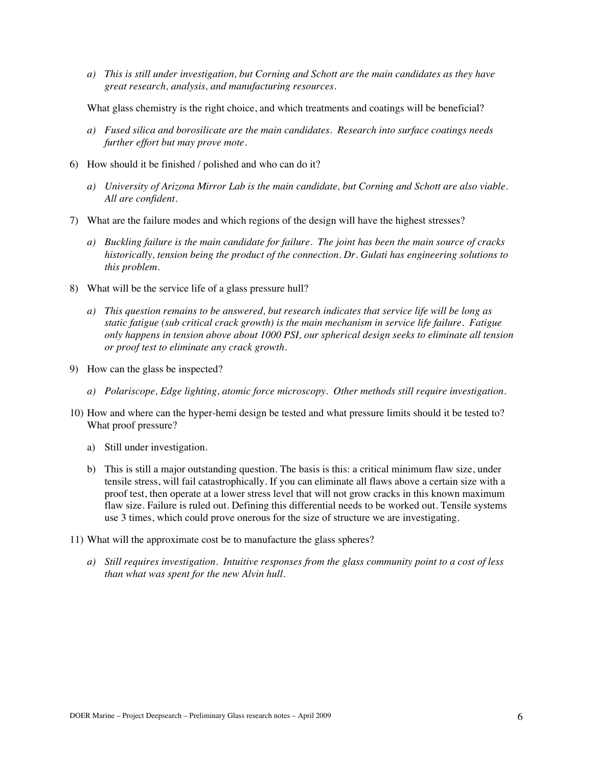*a) This is still under investigation, but Corning and Schott are the main candidates as they have great research, analysis, and manufacturing resources.*

What glass chemistry is the right choice, and which treatments and coatings will be beneficial?

- *a) Fused silica and borosilicate are the main candidates. Research into surface coatings needs further effort but may prove mote.*
- 6) How should it be finished / polished and who can do it?
	- *a) University of Arizona Mirror Lab is the main candidate, but Corning and Schott are also viable. All are confident.*
- 7) What are the failure modes and which regions of the design will have the highest stresses?
	- *a) Buckling failure is the main candidate for failure. The joint has been the main source of cracks historically, tension being the product of the connection. Dr. Gulati has engineering solutions to this problem.*
- 8) What will be the service life of a glass pressure hull?
	- *a) This question remains to be answered, but research indicates that service life will be long as static fatigue (sub critical crack growth) is the main mechanism in service life failure. Fatigue only happens in tension above about 1000 PSI, our spherical design seeks to eliminate all tension or proof test to eliminate any crack growth.*
- 9) How can the glass be inspected?
	- *a) Polariscope, Edge lighting, atomic force microscopy. Other methods still require investigation.*
- 10) How and where can the hyper-hemi design be tested and what pressure limits should it be tested to? What proof pressure?
	- a) Still under investigation.
	- b) This is still a major outstanding question. The basis is this: a critical minimum flaw size, under tensile stress, will fail catastrophically. If you can eliminate all flaws above a certain size with a proof test, then operate at a lower stress level that will not grow cracks in this known maximum flaw size. Failure is ruled out. Defining this differential needs to be worked out. Tensile systems use 3 times, which could prove onerous for the size of structure we are investigating.
- 11) What will the approximate cost be to manufacture the glass spheres?
	- *a) Still requires investigation. Intuitive responses from the glass community point to a cost of less than what was spent for the new Alvin hull.*